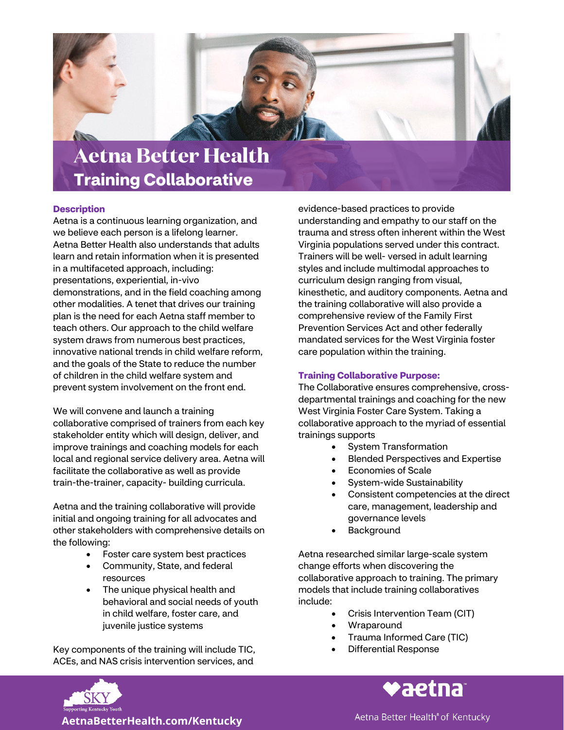

## **Description**

Aetna is a continuous learning organization, and we believe each person is a lifelong learner. Aetna Better Health also understands that adults learn and retain information when it is presented in a multifaceted approach, including: presentations, experiential, in-vivo demonstrations, and in the field coaching among other modalities. A tenet that drives our training plan is the need for each Aetna staff member to teach others. Our approach to the child welfare system draws from numerous best practices, innovative national trends in child welfare reform, and the goals of the State to reduce the number of children in the child welfare system and prevent system involvement on the front end.

We will convene and launch a training collaborative comprised of trainers from each key stakeholder entity which will design, deliver, and improve trainings and coaching models for each local and regional service delivery area. Aetna will facilitate the collaborative as well as provide train-the-trainer, capacity- building curricula.

Aetna and the training collaborative will provide initial and ongoing training for all advocates and other stakeholders with comprehensive details on the following:

- Foster care system best practices
- Community, State, and federal resources
- The unique physical health and behavioral and social needs of youth in child welfare, foster care, and juvenile justice systems

Key components of the training will include TIC, ACEs, and NAS crisis intervention services, and

evidence-based practices to provide understanding and empathy to our staff on the trauma and stress often inherent within the West Virginia populations served under this contract. Trainers will be well- versed in adult learning styles and include multimodal approaches to curriculum design ranging from visual, kinesthetic, and auditory components. Aetna and the training collaborative will also provide a comprehensive review of the Family First Prevention Services Act and other federally mandated services for the West Virginia foster care population within the training.

## **Training Collaborative Purpose:**

The Collaborative ensures comprehensive, crossdepartmental trainings and coaching for the new West Virginia Foster Care System. Taking a collaborative approach to the myriad of essential trainings supports

- System Transformation
- Blended Perspectives and Expertise
- Economies of Scale
- System-wide Sustainability
- Consistent competencies at the direct care, management, leadership and governance levels
- **Background**

Aetna researched similar large-scale system change efforts when discovering the collaborative approach to training. The primary models that include training collaboratives include:

- Crisis Intervention Team (CIT)
- **Wraparound**
- Trauma Informed Care (TIC)
- Differential Response



 **AetnaBetterHealth.com/Kentucky**

Aetna Better Health® of Kentucky

**vaetna**